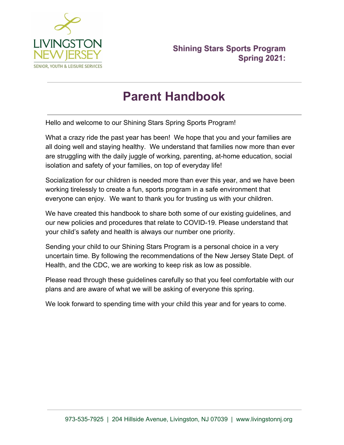

# **Parent Handbook**

Hello and welcome to our Shining Stars Spring Sports Program!

What a crazy ride the past year has been! We hope that you and your families are all doing well and staying healthy. We understand that families now more than ever are struggling with the daily juggle of working, parenting, at-home education, social isolation and safety of your families, on top of everyday life!

Socialization for our children is needed more than ever this year, and we have been working tirelessly to create a fun, sports program in a safe environment that everyone can enjoy. We want to thank you for trusting us with your children.

We have created this handbook to share both some of our existing guidelines, and our new policies and procedures that relate to COVID-19. Please understand that your child's safety and health is always our number one priority.

Sending your child to our Shining Stars Program is a personal choice in a very uncertain time. By following the recommendations of the New Jersey State Dept. of Health, and the CDC, we are working to keep risk as low as possible.

Please read through these guidelines carefully so that you feel comfortable with our plans and are aware of what we will be asking of everyone this spring.

We look forward to spending time with your child this year and for years to come.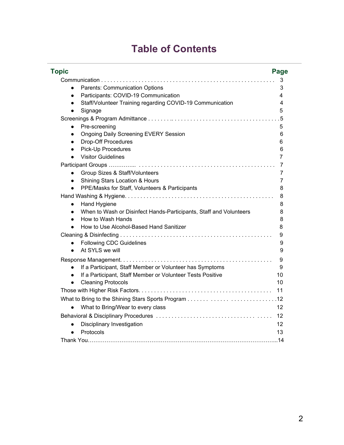# **Table of Contents**

| Topic                                                                           | <b>Page</b>    |
|---------------------------------------------------------------------------------|----------------|
|                                                                                 | 3              |
| Parents: Communication Options<br>$\bullet$                                     | 3              |
| Participants: COVID-19 Communication<br>$\bullet$                               | 4              |
| Staff/Volunteer Training regarding COVID-19 Communication<br>$\bullet$          | 4              |
| Signage<br>$\bullet$                                                            | 5              |
|                                                                                 | . 5            |
| Pre-screening<br>$\bullet$                                                      | 5              |
| <b>Ongoing Daily Screening EVERY Session</b><br>$\bullet$                       | 6              |
| Drop-Off Procedures<br>$\bullet$                                                | 6              |
| <b>Pick-Up Procedures</b><br>$\bullet$                                          | 6              |
| <b>Visitor Guidelines</b><br>$\bullet$                                          | 7              |
|                                                                                 | 7              |
| Group Sizes & Staff/Volunteers<br>$\bullet$                                     | 7              |
| Shining Stars Location & Hours<br>$\bullet$                                     | $\overline{7}$ |
| PPE/Masks for Staff, Volunteers & Participants<br>$\bullet$                     | 8              |
|                                                                                 | 8              |
| Hand Hygiene<br>$\bullet$                                                       | 8              |
| When to Wash or Disinfect Hands-Participants, Staff and Volunteers<br>$\bullet$ | 8              |
| How to Wash Hands<br>$\bullet$                                                  | 8              |
| How to Use Alcohol-Based Hand Sanitizer<br>$\bullet$                            | 8              |
|                                                                                 | 9              |
| <b>Following CDC Guidelines</b><br>$\bullet$                                    | 9              |
| At SYLS we will<br>$\bullet$                                                    | 9              |
|                                                                                 | 9              |
| If a Participant, Staff Member or Volunteer has Symptoms<br>$\bullet$           | 9              |
| If a Participant, Staff Member or Volunteer Tests Positive<br>$\bullet$         | 10             |
| <b>Cleaning Protocols</b><br>$\bullet$                                          | 10             |
|                                                                                 | 11             |
|                                                                                 |                |
| What to Bring/Wear to every class                                               | 12             |
|                                                                                 | 12             |
| Disciplinary Investigation<br>$\bullet$                                         | 12             |
| Protocols<br>$\bullet$                                                          | 13             |
|                                                                                 |                |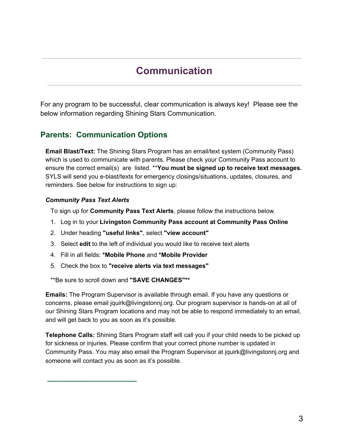# **Communication**

For any program to be successful, clear communication is always key! Please see the below information regarding Shining Stars Communication.

### **Parents: Communication Options**

**Email Blast/Text:** The Shining Stars Program has an email/text system (Community Pass) which is used to communicate with parents. Please check your Community Pass account to ensure the correct email(s) are listed. \*\***You must be signed up to receive text messages.** SYLS will send you e-blast/texts for emergency closings/situations, updates, closures, and reminders. See below for instructions to sign up:

#### *Community Pass Text Alerts*

⎯⎯⎯⎯⎯⎯⎯⎯⎯⎯⎯⎯⎯⎯⎯⎯⎯⎯⎯

To sign up for **Community Pass Text Alerts**, please follow the instructions below.

- 1. Log in to your **Livingston Community Pass account at Community Pass Online**
- 2. Under heading **"useful links"**, select **"view account"**
- 3. Select **edit** to the left of individual you would like to receive text alerts
- 4. Fill in all fields: **\*Mobile Phone** and **\*Mobile Provider**
- 5. Check the box to **"receive alerts via text messages"**

\*\*Be sure to scroll down and **"SAVE CHANGES"\*\***

**Emails:** The Program Supervisor is available through email. If you have any questions or concerns, please email jquirk@livingstonnj.org. Our program supervisor is hands-on at all of our Shining Stars Program locations and may not be able to respond immediately to an email, and will get back to you as soon as it's possible.

**Telephone Calls:** Shining Stars Program staff will call you if your child needs to be picked up for sickness or injuries. Please confirm that your correct phone number is updated in Community Pass. You may also email the Program Supervisor at jquirk@livingstonnj.org and someone will contact you as soon as it's possible.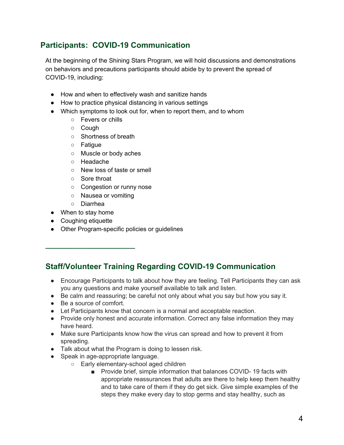## **Participants: COVID-19 Communication**

At the beginning of the Shining Stars Program, we will hold discussions and demonstrations on behaviors and precautions participants should abide by to prevent the spread of COVID-19, including:

- How and when to effectively wash and sanitize hands
- How to practice physical distancing in various settings
- Which symptoms to look out for, when to report them, and to whom
	- Fevers or chills
	- Cough
	- Shortness of breath
	- Fatigue
	- Muscle or body aches
	- Headache
	- New loss of taste or smell
	- Sore throat
	- Congestion or runny nose
	- Nausea or vomiting
	- Diarrhea

⎯⎯⎯⎯⎯⎯⎯⎯⎯⎯⎯⎯⎯⎯⎯⎯⎯⎯⎯

- When to stay home
- Coughing etiquette
- Other Program-specific policies or guidelines

## **Staff/Volunteer Training Regarding COVID-19 Communication**

- Encourage Participants to talk about how they are feeling. Tell Participants they can ask you any questions and make yourself available to talk and listen.
- Be calm and reassuring; be careful not only about what you say but how you say it.
- Be a source of comfort.
- Let Participants know that concern is a normal and acceptable reaction.
- Provide only honest and accurate information. Correct any false information they may have heard.
- Make sure Participants know how the virus can spread and how to prevent it from spreading.
- Talk about what the Program is doing to lessen risk.
- Speak in age-appropriate language.
	- Early elementary-school aged children
		- Provide brief, simple information that balances COVID-19 facts with appropriate reassurances that adults are there to help keep them healthy and to take care of them if they do get sick. Give simple examples of the steps they make every day to stop germs and stay healthy, such as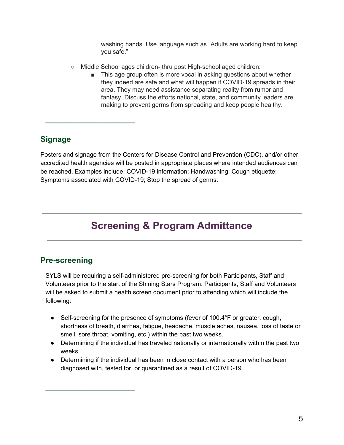washing hands. Use language such as "Adults are working hard to keep you safe."

- Middle School ages children- thru post High-school aged children:
	- This age group often is more vocal in asking questions about whether they indeed are safe and what will happen if COVID-19 spreads in their area. They may need assistance separating reality from rumor and fantasy. Discuss the efforts national, state, and community leaders are making to prevent germs from spreading and keep people healthy.

### **Signage**

⎯⎯⎯⎯⎯⎯⎯⎯⎯⎯⎯⎯⎯⎯⎯⎯⎯⎯⎯

Posters and signage from the Centers for Disease Control and Prevention (CDC), and/or other accredited health agencies will be posted in appropriate places where intended audiences can be reached. Examples include: COVID-19 information; Handwashing; Cough etiquette; Symptoms associated with COVID-19; Stop the spread of germs.

# **Screening & Program Admittance**

### **Pre-screening**

⎯⎯⎯⎯⎯⎯⎯⎯⎯⎯⎯⎯⎯⎯⎯⎯⎯⎯⎯

SYLS will be requiring a self-administered pre-screening for both Participants, Staff and Volunteers prior to the start of the Shining Stars Program. Participants, Staff and Volunteers will be asked to submit a health screen document prior to attending which will include the following:

- Self-screening for the presence of symptoms (fever of 100.4°F or greater, cough, shortness of breath, diarrhea, fatigue, headache, muscle aches, nausea, loss of taste or smell, sore throat, vomiting, etc.) within the past two weeks.
- Determining if the individual has traveled nationally or internationally within the past two weeks.
- Determining if the individual has been in close contact with a person who has been diagnosed with, tested for, or quarantined as a result of COVID-19.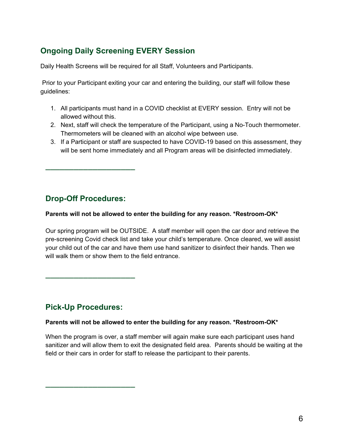## **Ongoing Daily Screening EVERY Session**

Daily Health Screens will be required for all Staff, Volunteers and Participants.

Prior to your Participant exiting your car and entering the building, our staff will follow these guidelines:

- 1. All participants must hand in a COVID checklist at EVERY session. Entry will not be allowed without this.
- 2. Next, staff will check the temperature of the Participant, using a No-Touch thermometer. Thermometers will be cleaned with an alcohol wipe between use.
- 3. If a Participant or staff are suspected to have COVID-19 based on this assessment, they will be sent home immediately and all Program areas will be disinfected immediately.

## **Drop-Off Procedures:**

⎯⎯⎯⎯⎯⎯⎯⎯⎯⎯⎯⎯⎯⎯⎯⎯⎯⎯⎯

#### **Parents will not be allowed to enter the building for any reason. \*Restroom-OK\***

Our spring program will be OUTSIDE. A staff member will open the car door and retrieve the pre-screening Covid check list and take your child's temperature. Once cleared, we will assist your child out of the car and have them use hand sanitizer to disinfect their hands. Then we will walk them or show them to the field entrance.

## **Pick-Up Procedures:**

⎯⎯⎯⎯⎯⎯⎯⎯⎯⎯⎯⎯⎯⎯⎯⎯⎯⎯⎯

⎯⎯⎯⎯⎯⎯⎯⎯⎯⎯⎯⎯⎯⎯⎯⎯⎯⎯⎯

#### **Parents will not be allowed to enter the building for any reason. \*Restroom-OK\***

When the program is over, a staff member will again make sure each participant uses hand sanitizer and will allow them to exit the designated field area. Parents should be waiting at the field or their cars in order for staff to release the participant to their parents.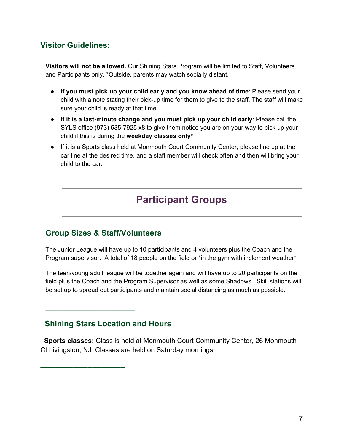## **Visitor Guidelines:**

**Visitors will not be allowed.** Our Shining Stars Program will be limited to Staff, Volunteers and Participants only. \*Outside, parents may watch socially distant.

- **If you must pick up your child early and you know ahead of time**: Please send your child with a note stating their pick-up time for them to give to the staff. The staff will make sure your child is ready at that time.
- **If it is a last-minute change and you must pick up your child early**: Please call the SYLS office (973) 535-7925 x8 to give them notice you are on your way to pick up your child if this is during the **weekday classes only\***
- If it is a Sports class held at Monmouth Court Community Center, please line up at the car line at the desired time, and a staff member will check often and then will bring your child to the car.

# **Participant Groups**

### **Group Sizes & Staff/Volunteers**

The Junior League will have up to 10 participants and 4 volunteers plus the Coach and the Program supervisor. A total of 18 people on the field or \*in the gym with inclement weather\*

The teen/young adult league will be together again and will have up to 20 participants on the field plus the Coach and the Program Supervisor as well as some Shadows. Skill stations will be set up to spread out participants and maintain social distancing as much as possible.

### **Shining Stars Location and Hours**

⎯⎯⎯⎯⎯⎯⎯⎯⎯⎯⎯⎯⎯⎯⎯⎯⎯⎯⎯

⎯⎯⎯⎯⎯⎯⎯⎯⎯⎯⎯⎯⎯⎯⎯⎯⎯⎯

 **Sports classes:** Class is held at Monmouth Court Community Center, 26 Monmouth Ct Livingston, NJ Classes are held on Saturday mornings.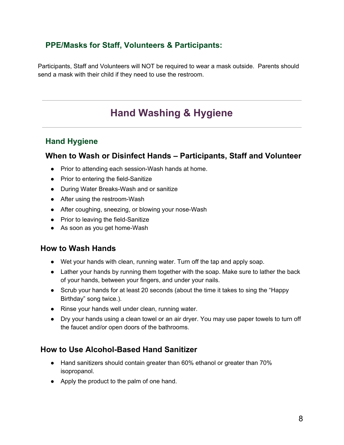## **PPE/Masks for Staff, Volunteers & Participants:**

Participants, Staff and Volunteers will NOT be required to wear a mask outside. Parents should send a mask with their child if they need to use the restroom.

## **Hand Washing & Hygiene**

### **Hand Hygiene**

### **When to Wash or Disinfect Hands – Participants, Staff and Volunteer**

- Prior to attending each session-Wash hands at home.
- Prior to entering the field-Sanitize
- During Water Breaks-Wash and or sanitize
- After using the restroom-Wash
- After coughing, sneezing, or blowing your nose-Wash
- Prior to leaving the field-Sanitize
- As soon as you get home-Wash

#### **How to Wash Hands**

- Wet your hands with clean, running water. Turn off the tap and apply soap.
- Lather your hands by running them together with the soap. Make sure to lather the back of your hands, between your fingers, and under your nails.
- Scrub your hands for at least 20 seconds (about the time it takes to sing the "Happy Birthday" song twice.).
- Rinse your hands well under clean, running water.
- Dry your hands using a clean towel or an air dryer. You may use paper towels to turn off the faucet and/or open doors of the bathrooms.

#### **How to Use Alcohol-Based Hand Sanitizer**

- Hand sanitizers should contain greater than 60% ethanol or greater than 70% isopropanol.
- Apply the product to the palm of one hand.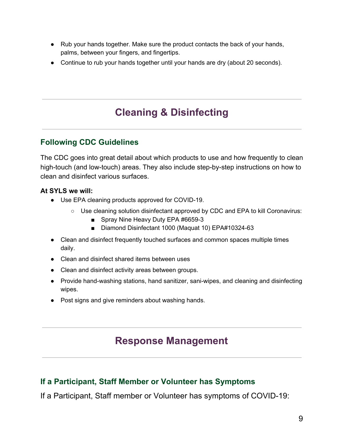- Rub your hands together. Make sure the product contacts the back of your hands, palms, between your fingers, and fingertips.
- Continue to rub your hands together until your hands are dry (about 20 seconds).

# **Cleaning & Disinfecting**

### **Following CDC Guidelines**

The CDC goes into great detail about which products to use and how frequently to clean high-touch (and low-touch) areas. They also include step-by-step instructions on how to clean and disinfect various surfaces.

#### **At SYLS we will:**

- Use EPA cleaning products approved for COVID-19.
	- Use cleaning solution disinfectant approved by CDC and EPA to kill Coronavirus:
		- Spray Nine Heavy Duty EPA #6659-3
		- Diamond Disinfectant 1000 (Maquat 10) EPA#10324-63
- Clean and disinfect frequently touched surfaces and common spaces multiple times daily.
- Clean and disinfect shared items between uses
- Clean and disinfect activity areas between groups.
- Provide hand-washing stations, hand sanitizer, sani-wipes, and cleaning and disinfecting wipes.
- Post signs and give reminders about washing hands.

## **Response Management**

## **If a Participant, Staff Member or Volunteer has Symptoms**

If a Participant, Staff member or Volunteer has symptoms of COVID-19: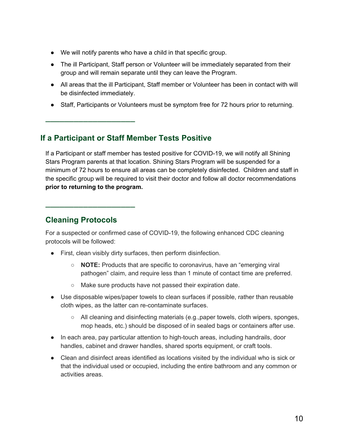- We will notify parents who have a child in that specific group.
- The ill Participant, Staff person or Volunteer will be immediately separated from their group and will remain separate until they can leave the Program.
- All areas that the ill Participant, Staff member or Volunteer has been in contact with will be disinfected immediately.
- Staff, Participants or Volunteers must be symptom free for 72 hours prior to returning.

### **If a Participant or Staff Member Tests Positive**

If a Participant or staff member has tested positive for COVID-19, we will notify all Shining Stars Program parents at that location. Shining Stars Program will be suspended for a minimum of 72 hours to ensure all areas can be completely disinfected. Children and staff in the specific group will be required to visit their doctor and follow all doctor recommendations **prior to returning to the program.**

### **Cleaning Protocols**

⎯⎯⎯⎯⎯⎯⎯⎯⎯⎯⎯⎯⎯⎯⎯⎯⎯⎯⎯

⎯⎯⎯⎯⎯⎯⎯⎯⎯⎯⎯⎯⎯⎯⎯⎯⎯⎯⎯

For a suspected or confirmed case of COVID-19, the following enhanced CDC cleaning protocols will be followed:

- First, clean visibly dirty surfaces, then perform disinfection.
	- **NOTE:** Products that are specific to coronavirus, have an "emerging viral pathogen" claim, and require less than 1 minute of contact time are preferred.
	- Make sure products have not passed their expiration date.
- Use disposable wipes/paper towels to clean surfaces if possible, rather than reusable cloth wipes, as the latter can re-contaminate surfaces.
	- All cleaning and disinfecting materials (e.g., paper towels, cloth wipers, sponges, mop heads, etc.) should be disposed of in sealed bags or containers after use.
- In each area, pay particular attention to high-touch areas, including handrails, door handles, cabinet and drawer handles, shared sports equipment, or craft tools.
- Clean and disinfect areas identified as locations visited by the individual who is sick or that the individual used or occupied, including the entire bathroom and any common or activities areas.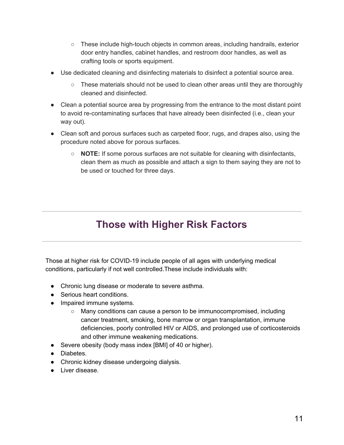- These include high-touch objects in common areas, including handrails, exterior door entry handles, cabinet handles, and restroom door handles, as well as crafting tools or sports equipment.
- Use dedicated cleaning and disinfecting materials to disinfect a potential source area.
	- $\circ$  These materials should not be used to clean other areas until they are thoroughly cleaned and disinfected.
- Clean a potential source area by progressing from the entrance to the most distant point to avoid re-contaminating surfaces that have already been disinfected (i.e., clean your way out).
- Clean soft and porous surfaces such as carpeted floor, rugs, and drapes also, using the procedure noted above for porous surfaces.
	- **NOTE:** If some porous surfaces are not suitable for cleaning with disinfectants, clean them as much as possible and attach a sign to them saying they are not to be used or touched for three days.

# **Those with Higher Risk Factors**

Those at higher risk for COVID-19 include people of all ages with underlying medical conditions, particularly if not well controlled.These include individuals with:

- Chronic lung disease or moderate to severe asthma.
- Serious heart conditions.
- Impaired immune systems.
	- Many conditions can cause a person to be immunocompromised, including cancer treatment, smoking, bone marrow or organ transplantation, immune deficiencies, poorly controlled HIV or AIDS, and prolonged use of corticosteroids and other immune weakening medications.
- Severe obesity (body mass index [BMI] of 40 or higher).
- Diabetes.
- Chronic kidney disease undergoing dialysis.
- Liver disease.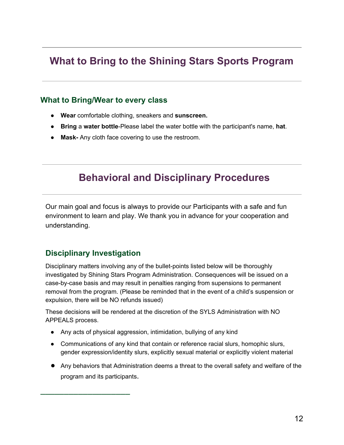## **What to Bring to the Shining Stars Sports Program**

### **What to Bring/Wear to every class**

- **Wear** comfortable clothing, sneakers and **sunscreen.**
- **Bring** a **water bottle**-Please label the water bottle with the participant's name, **hat**.
- **● Mask-** Any cloth face covering to use the restroom.

## **Behavioral and Disciplinary Procedures**

Our main goal and focus is always to provide our Participants with a safe and fun environment to learn and play. We thank you in advance for your cooperation and understanding.

### **Disciplinary Investigation**

⎯⎯⎯⎯⎯⎯⎯⎯⎯⎯⎯⎯⎯⎯⎯⎯⎯⎯⎯

Disciplinary matters involving any of the bullet-points listed below will be thoroughly investigated by Shining Stars Program Administration. Consequences will be issued on a case-by-case basis and may result in penalties ranging from supensions to permanent removal from the program. (Please be reminded that in the event of a child's suspension or expulsion, there will be NO refunds issued)

These decisions will be rendered at the discretion of the SYLS Administration with NO APPEALS process.

- Any acts of physical aggression, intimidation, bullying of any kind
- Communications of any kind that contain or reference racial slurs, homophic slurs, gender expression/identity slurs, explicitly sexual material or explicitly violent material
- Any behaviors that Administration deems a threat to the overall safety and welfare of the program and its participants.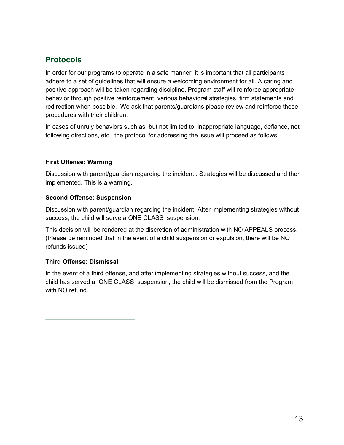## **Protocols**

In order for our programs to operate in a safe manner, it is important that all participants adhere to a set of guidelines that will ensure a welcoming environment for all. A caring and positive approach will be taken regarding discipline. Program staff will reinforce appropriate behavior through positive reinforcement, various behavioral strategies, firm statements and redirection when possible. We ask that parents/guardians please review and reinforce these procedures with their children.

In cases of unruly behaviors such as, but not limited to, inappropriate language, defiance, not following directions, etc., the protocol for addressing the issue will proceed as follows:

#### **First Offense: Warning**

Discussion with parent/guardian regarding the incident . Strategies will be discussed and then implemented. This is a warning.

#### **Second Offense: Suspension**

Discussion with parent/guardian regarding the incident. After implementing strategies without success, the child will serve a ONE CLASS suspension.

This decision will be rendered at the discretion of administration with NO APPEALS process. (Please be reminded that in the event of a child suspension or expulsion, there will be NO refunds issued)

#### **Third Offense: Dismissal**

⎯⎯⎯⎯⎯⎯⎯⎯⎯⎯⎯⎯⎯⎯⎯⎯⎯⎯⎯

In the event of a third offense, and after implementing strategies without success, and the child has served a ONE CLASS suspension, the child will be dismissed from the Program with NO refund.